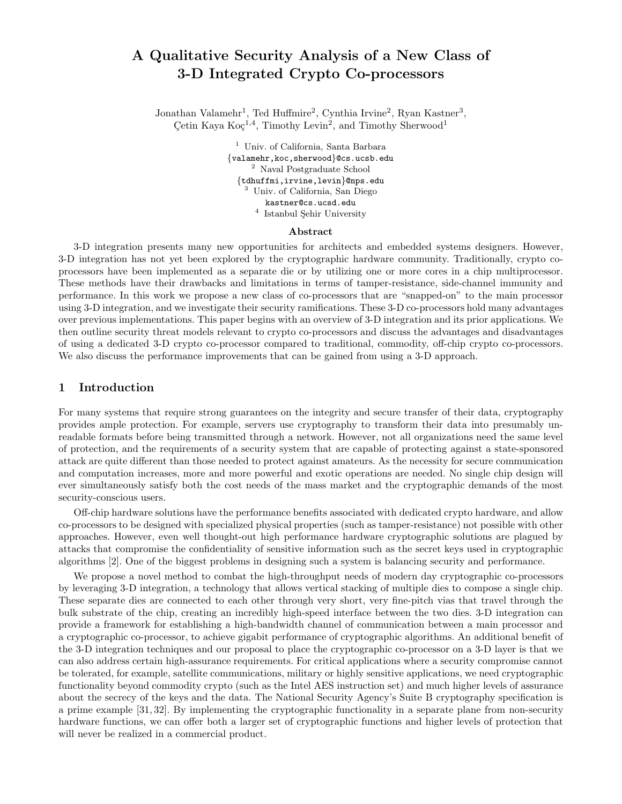# **A Qualitative Security Analysis of a New Class of 3-D Integrated Crypto Co-processors**

Jonathan Valamehr<sup>1</sup>, Ted Huffmire<sup>2</sup>, Cynthia Irvine<sup>2</sup>, Ryan Kastner<sup>3</sup>, Cetin Kaya Ko $c^{1,4}$ , Timothy Levin<sup>2</sup>, and Timothy Sherwood<sup>1</sup>

> <sup>1</sup> Univ. of California, Santa Barbara *{*valamehr,koc,sherwood*}*@cs.ucsb.edu <sup>2</sup> Naval Postgraduate School *{*tdhuffmi,irvine,levin*}*@nps.edu <sup>3</sup> Univ. of California, San Diego kastner@cs.ucsd.edu  $^4\,$ Istanbul Şehir University

#### **Abstract**

3-D integration presents many new opportunities for architects and embedded systems designers. However, 3-D integration has not yet been explored by the cryptographic hardware community. Traditionally, crypto coprocessors have been implemented as a separate die or by utilizing one or more cores in a chip multiprocessor. These methods have their drawbacks and limitations in terms of tamper-resistance, side-channel immunity and performance. In this work we propose a new class of co-processors that are "snapped-on" to the main processor using 3-D integration, and we investigate their security ramifications. These 3-D co-processors hold many advantages over previous implementations. This paper begins with an overview of 3-D integration and its prior applications. We then outline security threat models relevant to crypto co-processors and discuss the advantages and disadvantages of using a dedicated 3-D crypto co-processor compared to traditional, commodity, off-chip crypto co-processors. We also discuss the performance improvements that can be gained from using a 3-D approach.

#### **1 Introduction**

For many systems that require strong guarantees on the integrity and secure transfer of their data, cryptography provides ample protection. For example, servers use cryptography to transform their data into presumably unreadable formats before being transmitted through a network. However, not all organizations need the same level of protection, and the requirements of a security system that are capable of protecting against a state-sponsored attack are quite different than those needed to protect against amateurs. As the necessity for secure communication and computation increases, more and more powerful and exotic operations are needed. No single chip design will ever simultaneously satisfy both the cost needs of the mass market and the cryptographic demands of the most security-conscious users.

Off-chip hardware solutions have the performance benefits associated with dedicated crypto hardware, and allow co-processors to be designed with specialized physical properties (such as tamper-resistance) not possible with other approaches. However, even well thought-out high performance hardware cryptographic solutions are plagued by attacks that compromise the confidentiality of sensitive information such as the secret keys used in cryptographic algorithms [2]. One of the biggest problems in designing such a system is balancing security and performance.

We propose a novel method to combat the high-throughput needs of modern day cryptographic co-processors by leveraging 3-D integration, a technology that allows vertical stacking of multiple dies to compose a single chip. These separate dies are connected to each other through very short, very fine-pitch vias that travel through the bulk substrate of the chip, creating an incredibly high-speed interface between the two dies. 3-D integration can provide a framework for establishing a high-bandwidth channel of communication between a main processor and a cryptographic co-processor, to achieve gigabit performance of cryptographic algorithms. An additional benefit of the 3-D integration techniques and our proposal to place the cryptographic co-processor on a 3-D layer is that we can also address certain high-assurance requirements. For critical applications where a security compromise cannot be tolerated, for example, satellite communications, military or highly sensitive applications, we need cryptographic functionality beyond commodity crypto (such as the Intel AES instruction set) and much higher levels of assurance about the secrecy of the keys and the data. The National Security Agency's Suite B cryptography specification is a prime example [31, 32]. By implementing the cryptographic functionality in a separate plane from non-security hardware functions, we can offer both a larger set of cryptographic functions and higher levels of protection that will never be realized in a commercial product.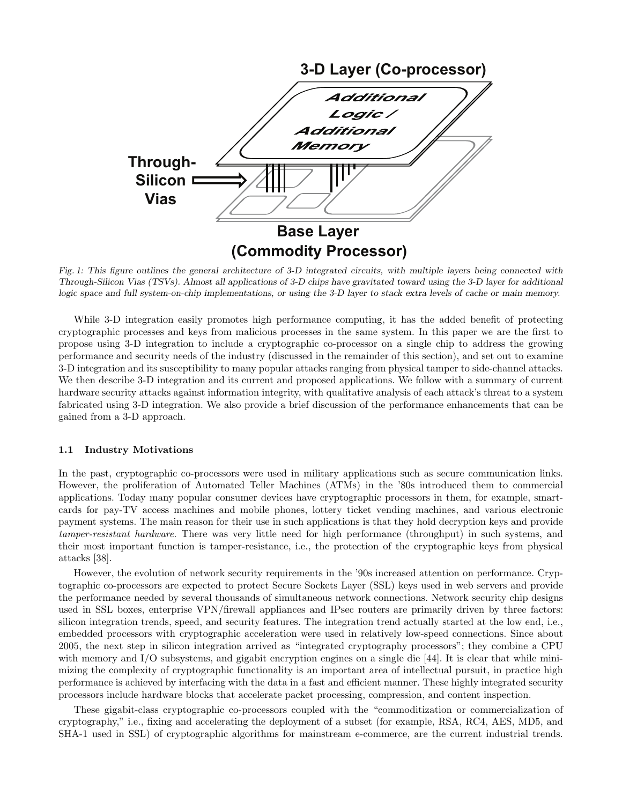

*Fig. 1: This figure outlines the general architecture of 3-D integrated circuits, with multiple layers being connected with Through-Silicon Vias (TSVs). Almost all applications of 3-D chips have gravitated toward using the 3-D layer for additional logic space and full system-on-chip implementations, or using the 3-D layer to stack extra levels of cache or main memory.*

While 3-D integration easily promotes high performance computing, it has the added benefit of protecting cryptographic processes and keys from malicious processes in the same system. In this paper we are the first to propose using 3-D integration to include a cryptographic co-processor on a single chip to address the growing performance and security needs of the industry (discussed in the remainder of this section), and set out to examine 3-D integration and its susceptibility to many popular attacks ranging from physical tamper to side-channel attacks. We then describe 3-D integration and its current and proposed applications. We follow with a summary of current hardware security attacks against information integrity, with qualitative analysis of each attack's threat to a system fabricated using 3-D integration. We also provide a brief discussion of the performance enhancements that can be gained from a 3-D approach.

#### **1.1 Industry Motivations**

In the past, cryptographic co-processors were used in military applications such as secure communication links. However, the proliferation of Automated Teller Machines (ATMs) in the '80s introduced them to commercial applications. Today many popular consumer devices have cryptographic processors in them, for example, smartcards for pay-TV access machines and mobile phones, lottery ticket vending machines, and various electronic payment systems. The main reason for their use in such applications is that they hold decryption keys and provide *tamper-resistant hardware*. There was very little need for high performance (throughput) in such systems, and their most important function is tamper-resistance, i.e., the protection of the cryptographic keys from physical attacks [38].

However, the evolution of network security requirements in the '90s increased attention on performance. Cryptographic co-processors are expected to protect Secure Sockets Layer (SSL) keys used in web servers and provide the performance needed by several thousands of simultaneous network connections. Network security chip designs used in SSL boxes, enterprise VPN/firewall appliances and IPsec routers are primarily driven by three factors: silicon integration trends, speed, and security features. The integration trend actually started at the low end, i.e., embedded processors with cryptographic acceleration were used in relatively low-speed connections. Since about 2005, the next step in silicon integration arrived as "integrated cryptography processors"; they combine a CPU with memory and I/O subsystems, and gigabit encryption engines on a single die [44]. It is clear that while minimizing the complexity of cryptographic functionality is an important area of intellectual pursuit, in practice high performance is achieved by interfacing with the data in a fast and efficient manner. These highly integrated security processors include hardware blocks that accelerate packet processing, compression, and content inspection.

These gigabit-class cryptographic co-processors coupled with the "commoditization or commercialization of cryptography," i.e., fixing and accelerating the deployment of a subset (for example, RSA, RC4, AES, MD5, and SHA-1 used in SSL) of cryptographic algorithms for mainstream e-commerce, are the current industrial trends.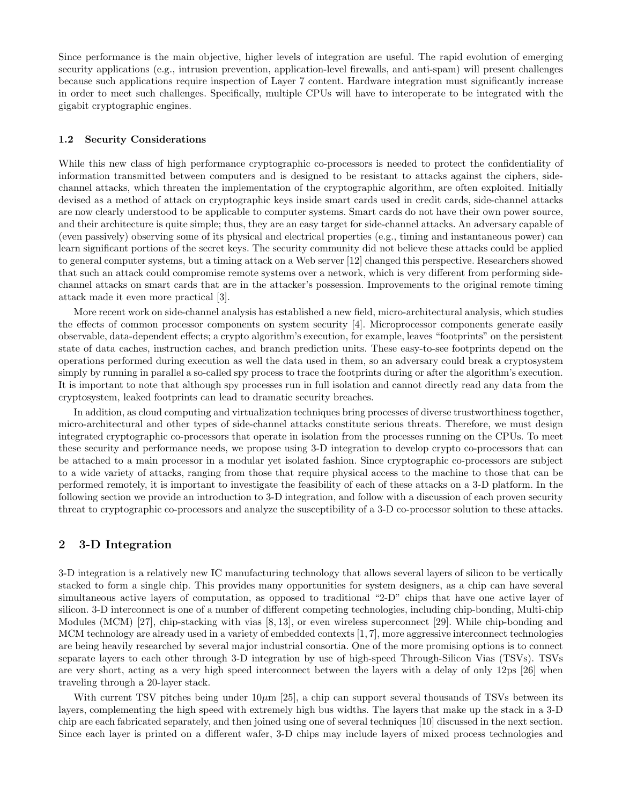Since performance is the main objective, higher levels of integration are useful. The rapid evolution of emerging security applications (e.g., intrusion prevention, application-level firewalls, and anti-spam) will present challenges because such applications require inspection of Layer 7 content. Hardware integration must significantly increase in order to meet such challenges. Specifically, multiple CPUs will have to interoperate to be integrated with the gigabit cryptographic engines.

#### **1.2 Security Considerations**

While this new class of high performance cryptographic co-processors is needed to protect the confidentiality of information transmitted between computers and is designed to be resistant to attacks against the ciphers, sidechannel attacks, which threaten the implementation of the cryptographic algorithm, are often exploited. Initially devised as a method of attack on cryptographic keys inside smart cards used in credit cards, side-channel attacks are now clearly understood to be applicable to computer systems. Smart cards do not have their own power source, and their architecture is quite simple; thus, they are an easy target for side-channel attacks. An adversary capable of (even passively) observing some of its physical and electrical properties (e.g., timing and instantaneous power) can learn significant portions of the secret keys. The security community did not believe these attacks could be applied to general computer systems, but a timing attack on a Web server [12] changed this perspective. Researchers showed that such an attack could compromise remote systems over a network, which is very different from performing sidechannel attacks on smart cards that are in the attacker's possession. Improvements to the original remote timing attack made it even more practical [3].

More recent work on side-channel analysis has established a new field, micro-architectural analysis, which studies the effects of common processor components on system security [4]. Microprocessor components generate easily observable, data-dependent effects; a crypto algorithm's execution, for example, leaves "footprints" on the persistent state of data caches, instruction caches, and branch prediction units. These easy-to-see footprints depend on the operations performed during execution as well the data used in them, so an adversary could break a cryptosystem simply by running in parallel a so-called spy process to trace the footprints during or after the algorithm's execution. It is important to note that although spy processes run in full isolation and cannot directly read any data from the cryptosystem, leaked footprints can lead to dramatic security breaches.

In addition, as cloud computing and virtualization techniques bring processes of diverse trustworthiness together, micro-architectural and other types of side-channel attacks constitute serious threats. Therefore, we must design integrated cryptographic co-processors that operate in isolation from the processes running on the CPUs. To meet these security and performance needs, we propose using 3-D integration to develop crypto co-processors that can be attached to a main processor in a modular yet isolated fashion. Since cryptographic co-processors are subject to a wide variety of attacks, ranging from those that require physical access to the machine to those that can be performed remotely, it is important to investigate the feasibility of each of these attacks on a 3-D platform. In the following section we provide an introduction to 3-D integration, and follow with a discussion of each proven security threat to cryptographic co-processors and analyze the susceptibility of a 3-D co-processor solution to these attacks.

#### **2 3-D Integration**

3-D integration is a relatively new IC manufacturing technology that allows several layers of silicon to be vertically stacked to form a single chip. This provides many opportunities for system designers, as a chip can have several simultaneous active layers of computation, as opposed to traditional "2-D" chips that have one active layer of silicon. 3-D interconnect is one of a number of different competing technologies, including chip-bonding, Multi-chip Modules (MCM) [27], chip-stacking with vias [8, 13], or even wireless superconnect [29]. While chip-bonding and MCM technology are already used in a variety of embedded contexts [1, 7], more aggressive interconnect technologies are being heavily researched by several major industrial consortia. One of the more promising options is to connect separate layers to each other through 3-D integration by use of high-speed Through-Silicon Vias (TSVs). TSVs are very short, acting as a very high speed interconnect between the layers with a delay of only 12ps [26] when traveling through a 20-layer stack.

With current TSV pitches being under 10*µ*m [25], a chip can support several thousands of TSVs between its layers, complementing the high speed with extremely high bus widths. The layers that make up the stack in a 3-D chip are each fabricated separately, and then joined using one of several techniques [10] discussed in the next section. Since each layer is printed on a different wafer, 3-D chips may include layers of mixed process technologies and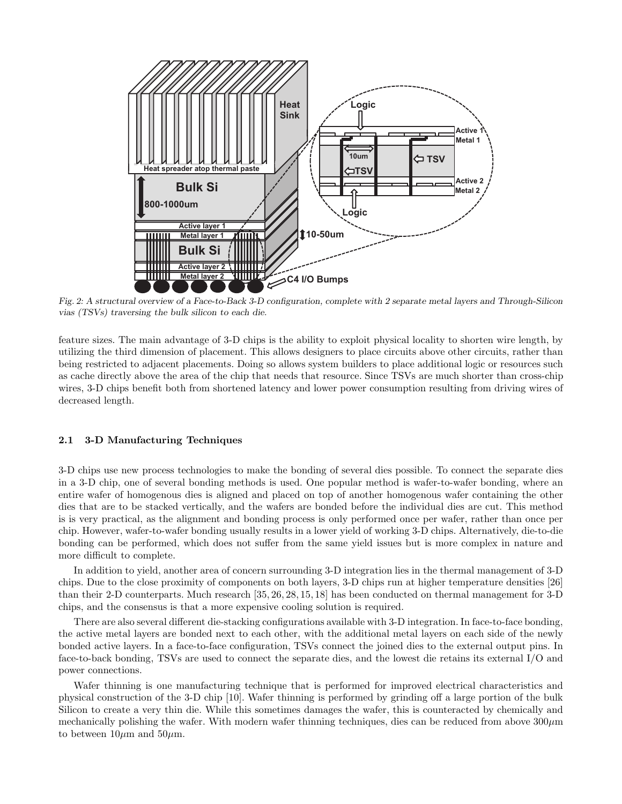

*Fig. 2: A structural overview of a Face-to-Back 3-D configuration, complete with 2 separate metal layers and Through-Silicon vias (TSVs) traversing the bulk silicon to each die.*

feature sizes. The main advantage of 3-D chips is the ability to exploit physical locality to shorten wire length, by utilizing the third dimension of placement. This allows designers to place circuits above other circuits, rather than being restricted to adjacent placements. Doing so allows system builders to place additional logic or resources such as cache directly above the area of the chip that needs that resource. Since TSVs are much shorter than cross-chip wires, 3-D chips benefit both from shortened latency and lower power consumption resulting from driving wires of decreased length.

#### **2.1 3-D Manufacturing Techniques**

3-D chips use new process technologies to make the bonding of several dies possible. To connect the separate dies in a 3-D chip, one of several bonding methods is used. One popular method is wafer-to-wafer bonding, where an entire wafer of homogenous dies is aligned and placed on top of another homogenous wafer containing the other dies that are to be stacked vertically, and the wafers are bonded before the individual dies are cut. This method is is very practical, as the alignment and bonding process is only performed once per wafer, rather than once per chip. However, wafer-to-wafer bonding usually results in a lower yield of working 3-D chips. Alternatively, die-to-die bonding can be performed, which does not suffer from the same yield issues but is more complex in nature and more difficult to complete.

In addition to yield, another area of concern surrounding 3-D integration lies in the thermal management of 3-D chips. Due to the close proximity of components on both layers, 3-D chips run at higher temperature densities [26] than their 2-D counterparts. Much research [35, 26, 28, 15, 18] has been conducted on thermal management for 3-D chips, and the consensus is that a more expensive cooling solution is required.

There are also several different die-stacking configurations available with 3-D integration. In face-to-face bonding, the active metal layers are bonded next to each other, with the additional metal layers on each side of the newly bonded active layers. In a face-to-face configuration, TSVs connect the joined dies to the external output pins. In face-to-back bonding, TSVs are used to connect the separate dies, and the lowest die retains its external I/O and power connections.

Wafer thinning is one manufacturing technique that is performed for improved electrical characteristics and physical construction of the 3-D chip [10]. Wafer thinning is performed by grinding off a large portion of the bulk Silicon to create a very thin die. While this sometimes damages the wafer, this is counteracted by chemically and mechanically polishing the wafer. With modern wafer thinning techniques, dies can be reduced from above 300*µ*m to between  $10\mu$ m and  $50\mu$ m.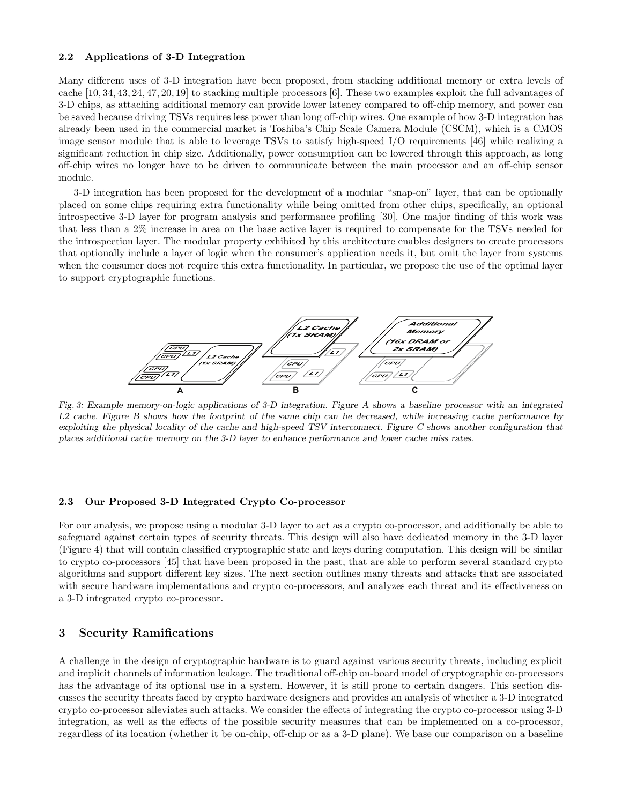#### **2.2 Applications of 3-D Integration**

Many different uses of 3-D integration have been proposed, from stacking additional memory or extra levels of cache [10, 34, 43, 24, 47, 20, 19] to stacking multiple processors [6]. These two examples exploit the full advantages of 3-D chips, as attaching additional memory can provide lower latency compared to off-chip memory, and power can be saved because driving TSVs requires less power than long off-chip wires. One example of how 3-D integration has already been used in the commercial market is Toshiba's Chip Scale Camera Module (CSCM), which is a CMOS image sensor module that is able to leverage TSVs to satisfy high-speed I/O requirements [46] while realizing a significant reduction in chip size. Additionally, power consumption can be lowered through this approach, as long off-chip wires no longer have to be driven to communicate between the main processor and an off-chip sensor module.

3-D integration has been proposed for the development of a modular "snap-on" layer, that can be optionally placed on some chips requiring extra functionality while being omitted from other chips, specifically, an optional introspective 3-D layer for program analysis and performance profiling [30]. One major finding of this work was that less than a 2% increase in area on the base active layer is required to compensate for the TSVs needed for the introspection layer. The modular property exhibited by this architecture enables designers to create processors that optionally include a layer of logic when the consumer's application needs it, but omit the layer from systems when the consumer does not require this extra functionality. In particular, we propose the use of the optimal layer to support cryptographic functions.



*Fig. 3: Example memory-on-logic applications of 3-D integration. Figure A shows a baseline processor with an integrated L2 cache. Figure B shows how the footprint of the same chip can be decreased, while increasing cache performance by exploiting the physical locality of the cache and high-speed TSV interconnect. Figure C shows another configuration that places additional cache memory on the 3-D layer to enhance performance and lower cache miss rates.*

#### **2.3 Our Proposed 3-D Integrated Crypto Co-processor**

For our analysis, we propose using a modular 3-D layer to act as a crypto co-processor, and additionally be able to safeguard against certain types of security threats. This design will also have dedicated memory in the 3-D layer (Figure 4) that will contain classified cryptographic state and keys during computation. This design will be similar to crypto co-processors [45] that have been proposed in the past, that are able to perform several standard crypto algorithms and support different key sizes. The next section outlines many threats and attacks that are associated with secure hardware implementations and crypto co-processors, and analyzes each threat and its effectiveness on a 3-D integrated crypto co-processor.

## **3 Security Ramifications**

A challenge in the design of cryptographic hardware is to guard against various security threats, including explicit and implicit channels of information leakage. The traditional off-chip on-board model of cryptographic co-processors has the advantage of its optional use in a system. However, it is still prone to certain dangers. This section discusses the security threats faced by crypto hardware designers and provides an analysis of whether a 3-D integrated crypto co-processor alleviates such attacks. We consider the effects of integrating the crypto co-processor using 3-D integration, as well as the effects of the possible security measures that can be implemented on a co-processor, regardless of its location (whether it be on-chip, off-chip or as a 3-D plane). We base our comparison on a baseline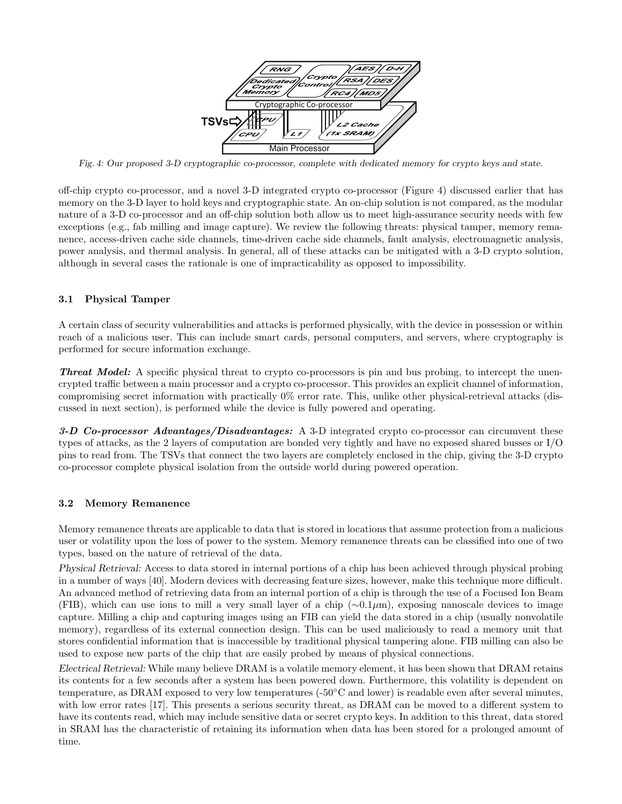

*Fig. 4: Our proposed 3-D cryptographic co-processor, complete with dedicated memory for crypto keys and state.*

off-chip crypto co-processor, and a novel 3-D integrated crypto co-processor (Figure 4) discussed earlier that has memory on the 3-D layer to hold keys and cryptographic state. An on-chip solution is not compared, as the modular nature of a 3-D co-processor and an off-chip solution both allow us to meet high-assurance security needs with few exceptions (e.g., fab milling and image capture). We review the following threats: physical tamper, memory remanence, access-driven cache side channels, time-driven cache side channels, fault analysis, electromagnetic analysis, power analysis, and thermal analysis. In general, all of these attacks can be mitigated with a 3-D crypto solution, although in several cases the rationale is one of impracticability as opposed to impossibility.

## **3.1 Physical Tamper**

A certain class of security vulnerabilities and attacks is performed physically, with the device in possession or within reach of a malicious user. This can include smart cards, personal computers, and servers, where cryptography is performed for secure information exchange.

*Threat Model:* A specific physical threat to crypto co-processors is pin and bus probing, to intercept the unencrypted traffic between a main processor and a crypto co-processor. This provides an explicit channel of information, compromising secret information with practically 0% error rate. This, unlike other physical-retrieval attacks (discussed in next section), is performed while the device is fully powered and operating.

*3-D Co-processor Advantages/Disadvantages:* A 3-D integrated crypto co-processor can circumvent these types of attacks, as the 2 layers of computation are bonded very tightly and have no exposed shared busses or I/O pins to read from. The TSVs that connect the two layers are completely enclosed in the chip, giving the 3-D crypto co-processor complete physical isolation from the outside world during powered operation.

## **3.2 Memory Remanence**

Memory remanence threats are applicable to data that is stored in locations that assume protection from a malicious user or volatility upon the loss of power to the system. Memory remanence threats can be classified into one of two types, based on the nature of retrieval of the data.

*Physical Retrieval:* Access to data stored in internal portions of a chip has been achieved through physical probing in a number of ways [40]. Modern devices with decreasing feature sizes, however, make this technique more difficult. An advanced method of retrieving data from an internal portion of a chip is through the use of a Focused Ion Beam (FIB), which can use ions to mill a very small layer of a chip (∼0.1*µ*m), exposing nanoscale devices to image capture. Milling a chip and capturing images using an FIB can yield the data stored in a chip (usually nonvolatile memory), regardless of its external connection design. This can be used maliciously to read a memory unit that stores confidential information that is inaccessible by traditional physical tampering alone. FIB milling can also be used to expose new parts of the chip that are easily probed by means of physical connections.

*Electrical Retrieval:* While many believe DRAM is a volatile memory element, it has been shown that DRAM retains its contents for a few seconds after a system has been powered down. Furthermore, this volatility is dependent on temperature, as DRAM exposed to very low temperatures (-50◦C and lower) is readable even after several minutes, with low error rates [17]. This presents a serious security threat, as DRAM can be moved to a different system to have its contents read, which may include sensitive data or secret crypto keys. In addition to this threat, data stored in SRAM has the characteristic of retaining its information when data has been stored for a prolonged amount of time.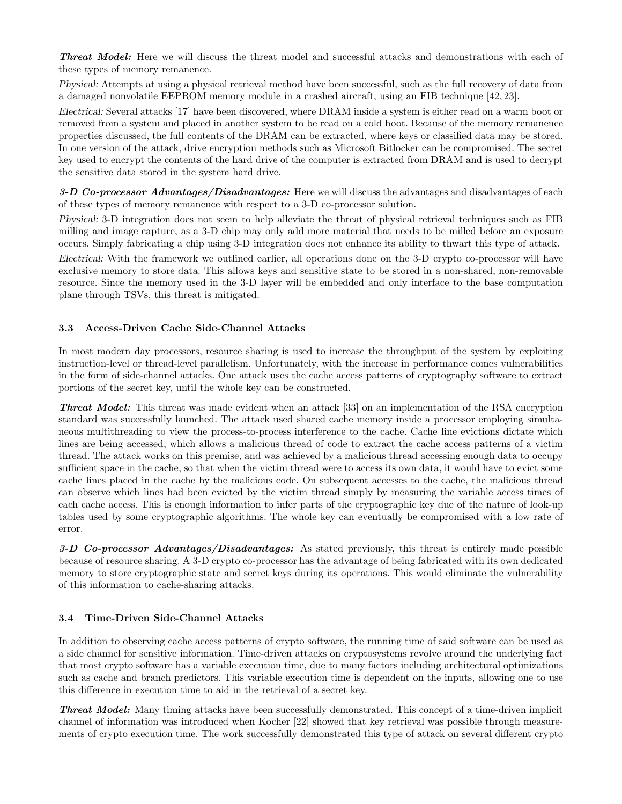*Threat Model:* Here we will discuss the threat model and successful attacks and demonstrations with each of these types of memory remanence.

*Physical:* Attempts at using a physical retrieval method have been successful, such as the full recovery of data from a damaged nonvolatile EEPROM memory module in a crashed aircraft, using an FIB technique [42, 23].

*Electrical:* Several attacks [17] have been discovered, where DRAM inside a system is either read on a warm boot or removed from a system and placed in another system to be read on a cold boot. Because of the memory remanence properties discussed, the full contents of the DRAM can be extracted, where keys or classified data may be stored. In one version of the attack, drive encryption methods such as Microsoft Bitlocker can be compromised. The secret key used to encrypt the contents of the hard drive of the computer is extracted from DRAM and is used to decrypt the sensitive data stored in the system hard drive.

*3-D Co-processor Advantages/Disadvantages:* Here we will discuss the advantages and disadvantages of each of these types of memory remanence with respect to a 3-D co-processor solution.

*Physical:* 3-D integration does not seem to help alleviate the threat of physical retrieval techniques such as FIB milling and image capture, as a 3-D chip may only add more material that needs to be milled before an exposure occurs. Simply fabricating a chip using 3-D integration does not enhance its ability to thwart this type of attack.

*Electrical:* With the framework we outlined earlier, all operations done on the 3-D crypto co-processor will have exclusive memory to store data. This allows keys and sensitive state to be stored in a non-shared, non-removable resource. Since the memory used in the 3-D layer will be embedded and only interface to the base computation plane through TSVs, this threat is mitigated.

## **3.3 Access-Driven Cache Side-Channel Attacks**

In most modern day processors, resource sharing is used to increase the throughput of the system by exploiting instruction-level or thread-level parallelism. Unfortunately, with the increase in performance comes vulnerabilities in the form of side-channel attacks. One attack uses the cache access patterns of cryptography software to extract portions of the secret key, until the whole key can be constructed.

*Threat Model:* This threat was made evident when an attack [33] on an implementation of the RSA encryption standard was successfully launched. The attack used shared cache memory inside a processor employing simultaneous multithreading to view the process-to-process interference to the cache. Cache line evictions dictate which lines are being accessed, which allows a malicious thread of code to extract the cache access patterns of a victim thread. The attack works on this premise, and was achieved by a malicious thread accessing enough data to occupy sufficient space in the cache, so that when the victim thread were to access its own data, it would have to evict some cache lines placed in the cache by the malicious code. On subsequent accesses to the cache, the malicious thread can observe which lines had been evicted by the victim thread simply by measuring the variable access times of each cache access. This is enough information to infer parts of the cryptographic key due of the nature of look-up tables used by some cryptographic algorithms. The whole key can eventually be compromised with a low rate of error.

*3-D Co-processor Advantages/Disadvantages:* As stated previously, this threat is entirely made possible because of resource sharing. A 3-D crypto co-processor has the advantage of being fabricated with its own dedicated memory to store cryptographic state and secret keys during its operations. This would eliminate the vulnerability of this information to cache-sharing attacks.

## **3.4 Time-Driven Side-Channel Attacks**

In addition to observing cache access patterns of crypto software, the running time of said software can be used as a side channel for sensitive information. Time-driven attacks on cryptosystems revolve around the underlying fact that most crypto software has a variable execution time, due to many factors including architectural optimizations such as cache and branch predictors. This variable execution time is dependent on the inputs, allowing one to use this difference in execution time to aid in the retrieval of a secret key.

*Threat Model:* Many timing attacks have been successfully demonstrated. This concept of a time-driven implicit channel of information was introduced when Kocher [22] showed that key retrieval was possible through measurements of crypto execution time. The work successfully demonstrated this type of attack on several different crypto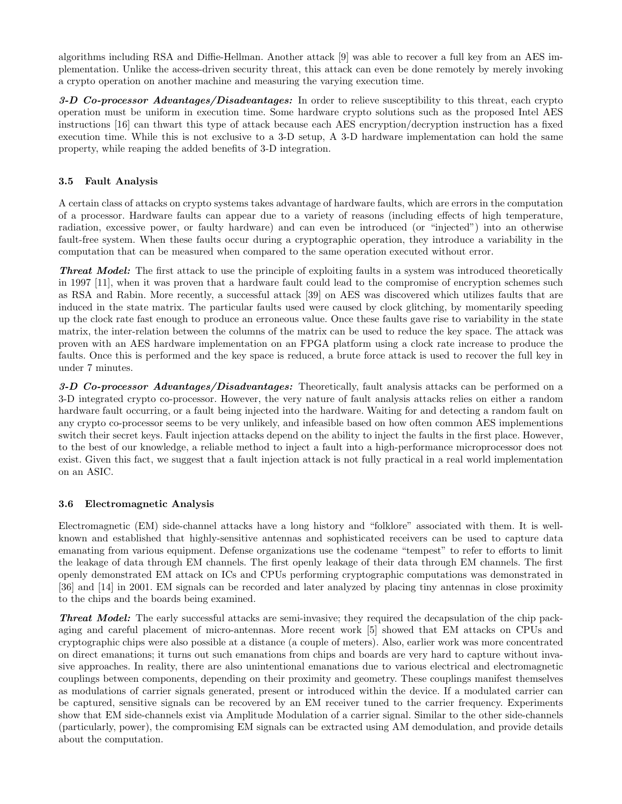algorithms including RSA and Diffie-Hellman. Another attack [9] was able to recover a full key from an AES implementation. Unlike the access-driven security threat, this attack can even be done remotely by merely invoking a crypto operation on another machine and measuring the varying execution time.

*3-D Co-processor Advantages/Disadvantages:* In order to relieve susceptibility to this threat, each crypto operation must be uniform in execution time. Some hardware crypto solutions such as the proposed Intel AES instructions [16] can thwart this type of attack because each AES encryption/decryption instruction has a fixed execution time. While this is not exclusive to a 3-D setup, A 3-D hardware implementation can hold the same property, while reaping the added benefits of 3-D integration.

# **3.5 Fault Analysis**

A certain class of attacks on crypto systems takes advantage of hardware faults, which are errors in the computation of a processor. Hardware faults can appear due to a variety of reasons (including effects of high temperature, radiation, excessive power, or faulty hardware) and can even be introduced (or "injected") into an otherwise fault-free system. When these faults occur during a cryptographic operation, they introduce a variability in the computation that can be measured when compared to the same operation executed without error.

*Threat Model:* The first attack to use the principle of exploiting faults in a system was introduced theoretically in 1997 [11], when it was proven that a hardware fault could lead to the compromise of encryption schemes such as RSA and Rabin. More recently, a successful attack [39] on AES was discovered which utilizes faults that are induced in the state matrix. The particular faults used were caused by clock glitching, by momentarily speeding up the clock rate fast enough to produce an erroneous value. Once these faults gave rise to variability in the state matrix, the inter-relation between the columns of the matrix can be used to reduce the key space. The attack was proven with an AES hardware implementation on an FPGA platform using a clock rate increase to produce the faults. Once this is performed and the key space is reduced, a brute force attack is used to recover the full key in under 7 minutes.

*3-D Co-processor Advantages/Disadvantages:* Theoretically, fault analysis attacks can be performed on a 3-D integrated crypto co-processor. However, the very nature of fault analysis attacks relies on either a random hardware fault occurring, or a fault being injected into the hardware. Waiting for and detecting a random fault on any crypto co-processor seems to be very unlikely, and infeasible based on how often common AES implementions switch their secret keys. Fault injection attacks depend on the ability to inject the faults in the first place. However, to the best of our knowledge, a reliable method to inject a fault into a high-performance microprocessor does not exist. Given this fact, we suggest that a fault injection attack is not fully practical in a real world implementation on an ASIC.

## **3.6 Electromagnetic Analysis**

Electromagnetic (EM) side-channel attacks have a long history and "folklore" associated with them. It is wellknown and established that highly-sensitive antennas and sophisticated receivers can be used to capture data emanating from various equipment. Defense organizations use the codename "tempest" to refer to efforts to limit the leakage of data through EM channels. The first openly leakage of their data through EM channels. The first openly demonstrated EM attack on ICs and CPUs performing cryptographic computations was demonstrated in [36] and [14] in 2001. EM signals can be recorded and later analyzed by placing tiny antennas in close proximity to the chips and the boards being examined.

*Threat Model:* The early successful attacks are semi-invasive; they required the decapsulation of the chip packaging and careful placement of micro-antennas. More recent work [5] showed that EM attacks on CPUs and cryptographic chips were also possible at a distance (a couple of meters). Also, earlier work was more concentrated on direct emanations; it turns out such emanations from chips and boards are very hard to capture without invasive approaches. In reality, there are also unintentional emanations due to various electrical and electromagnetic couplings between components, depending on their proximity and geometry. These couplings manifest themselves as modulations of carrier signals generated, present or introduced within the device. If a modulated carrier can be captured, sensitive signals can be recovered by an EM receiver tuned to the carrier frequency. Experiments show that EM side-channels exist via Amplitude Modulation of a carrier signal. Similar to the other side-channels (particularly, power), the compromising EM signals can be extracted using AM demodulation, and provide details about the computation.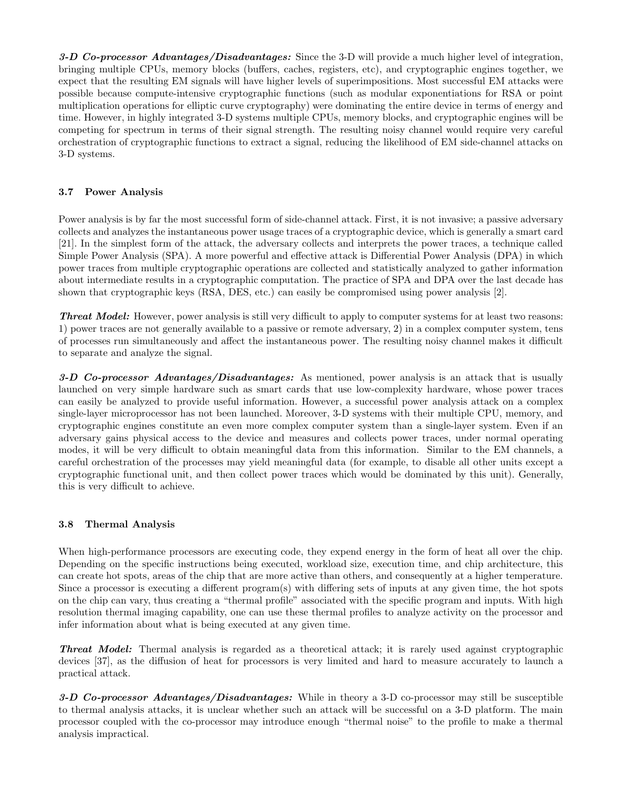*3-D Co-processor Advantages/Disadvantages:* Since the 3-D will provide a much higher level of integration, bringing multiple CPUs, memory blocks (buffers, caches, registers, etc), and cryptographic engines together, we expect that the resulting EM signals will have higher levels of superimpositions. Most successful EM attacks were possible because compute-intensive cryptographic functions (such as modular exponentiations for RSA or point multiplication operations for elliptic curve cryptography) were dominating the entire device in terms of energy and time. However, in highly integrated 3-D systems multiple CPUs, memory blocks, and cryptographic engines will be competing for spectrum in terms of their signal strength. The resulting noisy channel would require very careful orchestration of cryptographic functions to extract a signal, reducing the likelihood of EM side-channel attacks on 3-D systems.

## **3.7 Power Analysis**

Power analysis is by far the most successful form of side-channel attack. First, it is not invasive; a passive adversary collects and analyzes the instantaneous power usage traces of a cryptographic device, which is generally a smart card [21]. In the simplest form of the attack, the adversary collects and interprets the power traces, a technique called Simple Power Analysis (SPA). A more powerful and effective attack is Differential Power Analysis (DPA) in which power traces from multiple cryptographic operations are collected and statistically analyzed to gather information about intermediate results in a cryptographic computation. The practice of SPA and DPA over the last decade has shown that cryptographic keys (RSA, DES, etc.) can easily be compromised using power analysis [2].

*Threat Model:* However, power analysis is still very difficult to apply to computer systems for at least two reasons: 1) power traces are not generally available to a passive or remote adversary, 2) in a complex computer system, tens of processes run simultaneously and affect the instantaneous power. The resulting noisy channel makes it difficult to separate and analyze the signal.

*3-D Co-processor Advantages/Disadvantages:* As mentioned, power analysis is an attack that is usually launched on very simple hardware such as smart cards that use low-complexity hardware, whose power traces can easily be analyzed to provide useful information. However, a successful power analysis attack on a complex single-layer microprocessor has not been launched. Moreover, 3-D systems with their multiple CPU, memory, and cryptographic engines constitute an even more complex computer system than a single-layer system. Even if an adversary gains physical access to the device and measures and collects power traces, under normal operating modes, it will be very difficult to obtain meaningful data from this information. Similar to the EM channels, a careful orchestration of the processes may yield meaningful data (for example, to disable all other units except a cryptographic functional unit, and then collect power traces which would be dominated by this unit). Generally, this is very difficult to achieve.

## **3.8 Thermal Analysis**

When high-performance processors are executing code, they expend energy in the form of heat all over the chip. Depending on the specific instructions being executed, workload size, execution time, and chip architecture, this can create hot spots, areas of the chip that are more active than others, and consequently at a higher temperature. Since a processor is executing a different program(s) with differing sets of inputs at any given time, the hot spots on the chip can vary, thus creating a "thermal profile" associated with the specific program and inputs. With high resolution thermal imaging capability, one can use these thermal profiles to analyze activity on the processor and infer information about what is being executed at any given time.

*Threat Model:* Thermal analysis is regarded as a theoretical attack; it is rarely used against cryptographic devices [37], as the diffusion of heat for processors is very limited and hard to measure accurately to launch a practical attack.

*3-D Co-processor Advantages/Disadvantages:* While in theory a 3-D co-processor may still be susceptible to thermal analysis attacks, it is unclear whether such an attack will be successful on a 3-D platform. The main processor coupled with the co-processor may introduce enough "thermal noise" to the profile to make a thermal analysis impractical.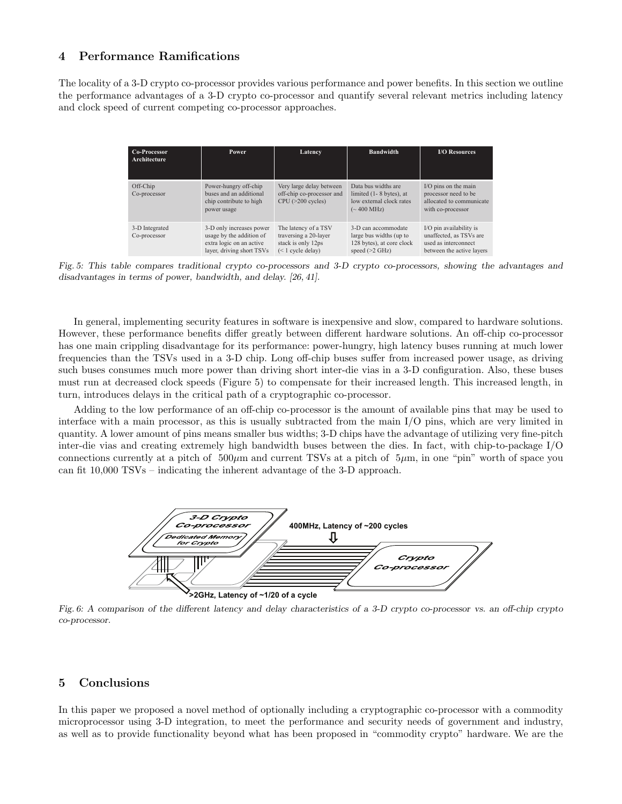# **4 Performance Ramifications**

The locality of a 3-D crypto co-processor provides various performance and power benefits. In this section we outline the performance advantages of a 3-D crypto co-processor and quantify several relevant metrics including latency and clock speed of current competing co-processor approaches.

| Co-Processor<br>Architecture   | Power                                                                                                         | Latency                                                                                    | <b>Bandwidth</b>                                                                                | I/O Resources                                                                                           |
|--------------------------------|---------------------------------------------------------------------------------------------------------------|--------------------------------------------------------------------------------------------|-------------------------------------------------------------------------------------------------|---------------------------------------------------------------------------------------------------------|
| Off-Chip<br>Co-processor       | Power-hungry off-chip<br>buses and an additional<br>chip contribute to high<br>power usage                    | Very large delay between<br>off-chip co-processor and<br>$CPU (>200$ cycles)               | Data bus widths are<br>limited (1-8 bytes), at<br>low external clock rates<br>$(\sim 400$ MHz)  | I/O pins on the main<br>processor need to be<br>allocated to communicate<br>with co-processor           |
| 3-D Integrated<br>Co-processor | 3-D only increases power<br>usage by the addition of<br>extra logic on an active<br>layer, driving short TSVs | The latency of a TSV<br>traversing a 20-layer<br>stack is only 12ps<br>$(< 1$ cycle delay) | 3-D can accommodate<br>large bus widths (up to<br>128 bytes), at core clock<br>speed $(>2$ GHz) | I/O pin availability is<br>unaffected, as TSVs are<br>used as interconnect<br>between the active layers |

*Fig. 5: This table compares traditional crypto co-processors and 3-D crypto co-processors, showing the advantages and disadvantages in terms of power, bandwidth, and delay. [26, 41].*

In general, implementing security features in software is inexpensive and slow, compared to hardware solutions. However, these performance benefits differ greatly between different hardware solutions. An off-chip co-processor has one main crippling disadvantage for its performance: power-hungry, high latency buses running at much lower frequencies than the TSVs used in a 3-D chip. Long off-chip buses suffer from increased power usage, as driving such buses consumes much more power than driving short inter-die vias in a 3-D configuration. Also, these buses must run at decreased clock speeds (Figure 5) to compensate for their increased length. This increased length, in turn, introduces delays in the critical path of a cryptographic co-processor.

Adding to the low performance of an off-chip co-processor is the amount of available pins that may be used to interface with a main processor, as this is usually subtracted from the main I/O pins, which are very limited in quantity. A lower amount of pins means smaller bus widths; 3-D chips have the advantage of utilizing very fine-pitch inter-die vias and creating extremely high bandwidth buses between the dies. In fact, with chip-to-package I/O connections currently at a pitch of 500*µ*m and current TSVs at a pitch of 5*µ*m, in one "pin" worth of space you can fit 10,000 TSVs – indicating the inherent advantage of the 3-D approach.



*Fig. 6: A comparison of the different latency and delay characteristics of a 3-D crypto co-processor vs. an off-chip crypto co-processor.*

# **5 Conclusions**

In this paper we proposed a novel method of optionally including a cryptographic co-processor with a commodity microprocessor using 3-D integration, to meet the performance and security needs of government and industry, as well as to provide functionality beyond what has been proposed in "commodity crypto" hardware. We are the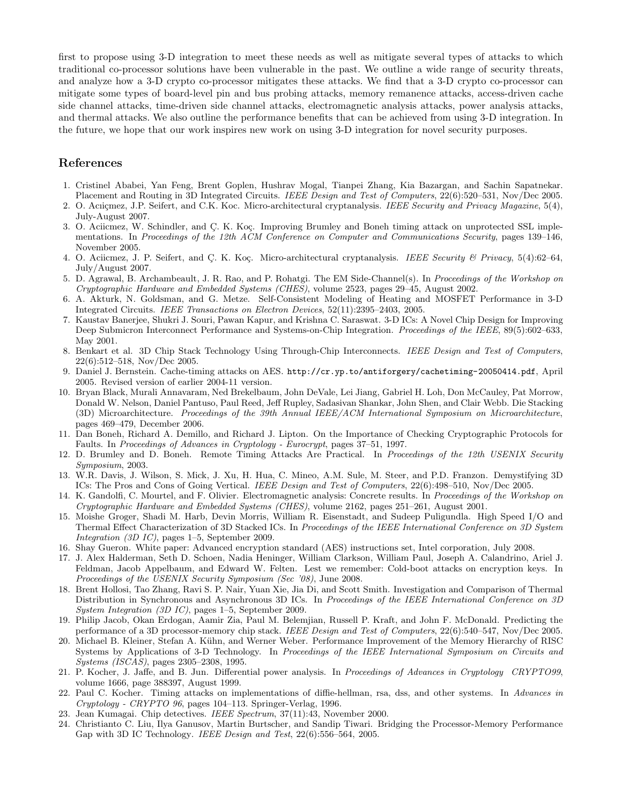first to propose using 3-D integration to meet these needs as well as mitigate several types of attacks to which traditional co-processor solutions have been vulnerable in the past. We outline a wide range of security threats, and analyze how a 3-D crypto co-processor mitigates these attacks. We find that a 3-D crypto co-processor can mitigate some types of board-level pin and bus probing attacks, memory remanence attacks, access-driven cache side channel attacks, time-driven side channel attacks, electromagnetic analysis attacks, power analysis attacks, and thermal attacks. We also outline the performance benefits that can be achieved from using 3-D integration. In the future, we hope that our work inspires new work on using 3-D integration for novel security purposes.

# **References**

- 1. Cristinel Ababei, Yan Feng, Brent Goplen, Hushrav Mogal, Tianpei Zhang, Kia Bazargan, and Sachin Sapatnekar. Placement and Routing in 3D Integrated Circuits. *IEEE Design and Test of Computers*, 22(6):520–531, Nov/Dec 2005.
- 2. O. Aciiçmez, J.P. Seifert, and C.K. Koc. Micro-architectural cryptanalysis. *IEEE Security and Privacy Magazine*, 5(4), July-August 2007.
- 3. O. Aciicmez, W. Schindler, and Ç. K. Koç. Improving Brumley and Boneh timing attack on unprotected SSL implementations. In *Proceedings of the 12th ACM Conference on Computer and Communications Security*, pages 139–146, November 2005.
- 4. O. Aciicmez, J. P. Seifert, and C¸ . K. Ko¸c. Micro-architectural cryptanalysis. *IEEE Security & Privacy*, 5(4):62–64, July/August 2007.
- 5. D. Agrawal, B. Archambeault, J. R. Rao, and P. Rohatgi. The EM Side-Channel(s). In *Proceedings of the Workshop on Cryptographic Hardware and Embedded Systems (CHES)*, volume 2523, pages 29–45, August 2002.
- 6. A. Akturk, N. Goldsman, and G. Metze. Self-Consistent Modeling of Heating and MOSFET Performance in 3-D Integrated Circuits. *IEEE Transactions on Electron Devices*, 52(11):2395–2403, 2005.
- 7. Kaustav Banerjee, Shukri J. Souri, Pawan Kapur, and Krishna C. Saraswat. 3-D ICs: A Novel Chip Design for Improving Deep Submicron Interconnect Performance and Systems-on-Chip Integration. *Proceedings of the IEEE*, 89(5):602–633, May 2001.
- 8. Benkart et al. 3D Chip Stack Technology Using Through-Chip Interconnects. *IEEE Design and Test of Computers*, 22(6):512–518, Nov/Dec 2005.
- 9. Daniel J. Bernstein. Cache-timing attacks on AES. http://cr.yp.to/antiforgery/cachetiming-20050414.pdf, April 2005. Revised version of earlier 2004-11 version.
- 10. Bryan Black, Murali Annavaram, Ned Brekelbaum, John DeVale, Lei Jiang, Gabriel H. Loh, Don McCauley, Pat Morrow, Donald W. Nelson, Daniel Pantuso, Paul Reed, Jeff Rupley, Sadasivan Shankar, John Shen, and Clair Webb. Die Stacking (3D) Microarchitecture. *Proceedings of the 39th Annual IEEE/ACM International Symposium on Microarchitecture*, pages 469–479, December 2006.
- 11. Dan Boneh, Richard A. Demillo, and Richard J. Lipton. On the Importance of Checking Cryptographic Protocols for Faults. In *Proceedings of Advances in Cryptology - Eurocrypt*, pages 37–51, 1997.
- 12. D. Brumley and D. Boneh. Remote Timing Attacks Are Practical. In *Proceedings of the 12th USENIX Security Symposium*, 2003.
- 13. W.R. Davis, J. Wilson, S. Mick, J. Xu, H. Hua, C. Mineo, A.M. Sule, M. Steer, and P.D. Franzon. Demystifying 3D ICs: The Pros and Cons of Going Vertical. *IEEE Design and Test of Computers*, 22(6):498–510, Nov/Dec 2005.
- 14. K. Gandolfi, C. Mourtel, and F. Olivier. Electromagnetic analysis: Concrete results. In *Proceedings of the Workshop on Cryptographic Hardware and Embedded Systems (CHES)*, volume 2162, pages 251–261, August 2001.
- 15. Moishe Groger, Shadi M. Harb, Devin Morris, William R. Eisenstadt, and Sudeep Puligundla. High Speed I/O and Thermal Effect Characterization of 3D Stacked ICs. In *Proceedings of the IEEE International Conference on 3D System Integration (3D IC)*, pages 1–5, September 2009.
- 16. Shay Gueron. White paper: Advanced encryption standard (AES) instructions set, Intel corporation, July 2008.
- 17. J. Alex Halderman, Seth D. Schoen, Nadia Heninger, William Clarkson, William Paul, Joseph A. Calandrino, Ariel J. Feldman, Jacob Appelbaum, and Edward W. Felten. Lest we remember: Cold-boot attacks on encryption keys. In *Proceedings of the USENIX Security Symposium (Sec '08)*, June 2008.
- 18. Brent Hollosi, Tao Zhang, Ravi S. P. Nair, Yuan Xie, Jia Di, and Scott Smith. Investigation and Comparison of Thermal Distribution in Synchronous and Asynchronous 3D ICs. In *Proceedings of the IEEE International Conference on 3D System Integration (3D IC)*, pages 1–5, September 2009.
- 19. Philip Jacob, Okan Erdogan, Aamir Zia, Paul M. Belemjian, Russell P. Kraft, and John F. McDonald. Predicting the performance of a 3D processor-memory chip stack. *IEEE Design and Test of Computers*, 22(6):540–547, Nov/Dec 2005.
- 20. Michael B. Kleiner, Stefan A. Kühn, and Werner Weber. Performance Improvement of the Memory Hierarchy of RISC Systems by Applications of 3-D Technology. In *Proceedings of the IEEE International Symposium on Circuits and Systems (ISCAS)*, pages 2305–2308, 1995.
- 21. P. Kocher, J. Jaffe, and B. Jun. Differential power analysis. In *Proceedings of Advances in Cryptology CRYPTO99*, volume 1666, page 388397, August 1999.
- 22. Paul C. Kocher. Timing attacks on implementations of diffie-hellman, rsa, dss, and other systems. In *Advances in Cryptology - CRYPTO 96*, pages 104–113. Springer-Verlag, 1996.
- 23. Jean Kumagai. Chip detectives. *IEEE Spectrum*, 37(11):43, November 2000.
- 24. Christianto C. Liu, Ilya Ganusov, Martin Burtscher, and Sandip Tiwari. Bridging the Processor-Memory Performance Gap with 3D IC Technology. *IEEE Design and Test*, 22(6):556–564, 2005.